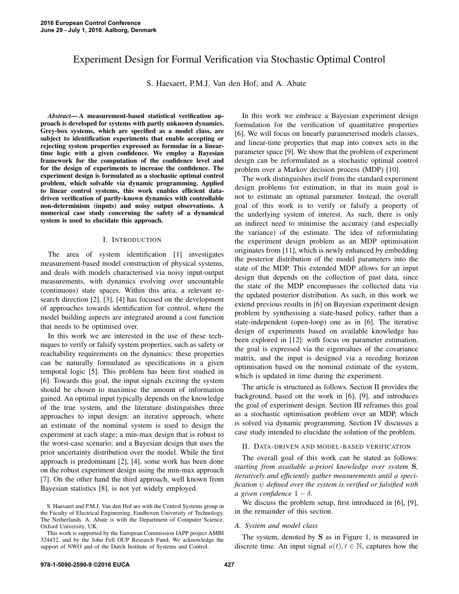# Experiment Design for Formal Verification via Stochastic Optimal Control

S. Haesaert, P.M.J. Van den Hof, and A. Abate

*Abstract*— A measurement-based statistical verification approach is developed for systems with partly unknown dynamics. Grey-box systems, which are specified as a model class, are subject to identification experiments that enable accepting or rejecting system properties expressed as formulae in a lineartime logic with a given confidence. We employ a Bayesian framework for the computation of the confidence level and for the design of experiments to increase the confidence. The experiment design is formulated as a stochastic optimal control problem, which solvable via dynamic programming. Applied to linear control systems, this work enables efficient datadriven verification of partly-known dynamics with controllable non-determinism (inputs) and noisy output observations. A numerical case study concerning the safety of a dynamical system is used to elucidate this approach.

### I. INTRODUCTION

The area of system identification [1] investigates measurement-based model construction of physical systems, and deals with models characterised via noisy input-output measurements, with dynamics evolving over uncountable (continuous) state spaces. Within this area, a relevant research direction [2], [3], [4] has focused on the development of approaches towards identification for control, where the model building aspects are integrated around a cost function that needs to be optimised over.

In this work we are interested in the use of these techniques to verify or falsify system properties, such as safety or reachability requirements on the dynamics: these properties can be naturally formulated as specifications in a given temporal logic [5]. This problem has been first studied in [6]. Towards this goal, the input signals exciting the system should be chosen to maximise the amount of information gained. An optimal input typically depends on the knowledge of the true system, and the literature distinguishes three approaches to input design: an iterative approach, where an estimate of the nominal system is used to design the experiment at each stage; a min-max design that is robust to the worst-case scenario; and a Bayesian design that uses the prior uncertainty distribution over the model. While the first approach is predominant [2], [4], some work has been done on the robust experiment design using the min-max approach [7]. On the other hand the third approach, well known from Bayesian statistics [8], is not yet widely employed.

In this work we embrace a Bayesian experiment design formulation for the verification of quantitative properties [6]. We will focus on linearly parameterised models classes, and linear-time properties that map into convex sets in the parameter space [9]. We show that the problem of experiment design can be reformulated as a stochastic optimal control problem over a Markov decision process (MDP) [10].

The work distinguishes itself from the standard experiment design problems for estimation, in that its main goal is not to estimate an optimal parameter. Instead, the overall goal of this work is to verify or falsify a property of the underlying system of interest. As such, there is only an indirect need to minimise the accuracy (and especially the variance) of the estimate. The idea of reformulating the experiment design problem as an MDP optimisation originates from [11], which is newly enhanced by embedding the posterior distribution of the model parameters into the state of the MDP. This extended MDP allows for an input design that depends on the collection of past data, since the state of the MDP encompasses the collected data via the updated posterior distribution. As such, in this work we extend previous results in [6] on Bayesian experiment design problem by synthesising a state-based policy, rather than a state-independent (open-loop) one as in [6]. The iterative design of experiments based on available knowledge has been explored in [12]: with focus on parameter estimation, the goal is expressed via the eigenvalues of the covariance matrix, and the input is designed via a receding horizon optimisation based on the nominal estimate of the system, which is updated in time during the experiment.

The article is structured as follows. Section II provides the background, based on the work in [6], [9], and introduces the goal of experiment design. Section III reframes this goal as a stochastic optimisation problem over an MDP, which is solved via dynamic programming. Section IV discusses a case study intended to elucidate the solution of the problem.

### II. DATA-DRIVEN AND MODEL-BASED VERIFICATION

The overall goal of this work can be stated as follows: *starting from available a-priori knowledge over system* S*, iteratively and efficiently gather measurements until a specification* ψ *defined over the system is verified or falsified with a* given confidence  $1 - \delta$ .

We discuss the problem setup, first introduced in [6], [9], in the remainder of this section.

### *A. System and model class*

The system, denoted by S as in Figure 1, is measured in discrete time. An input signal  $u(t)$ ,  $t \in \mathbb{N}$ , captures how the

S. Haesaert and P.M.J. Van den Hof are with the Control Systems group in the Faculty of Electrical Engineering, Eindhoven University of Technology, The Netherlands. A. Abate is with the Department of Computer Science, Oxford University, UK.

This work is supported by the European Commission IAPP project AMBI 324432, and by the John Fell OUP Research Fund. We acknowledge the support of NWO and of the Dutch Institute of Systems and Control.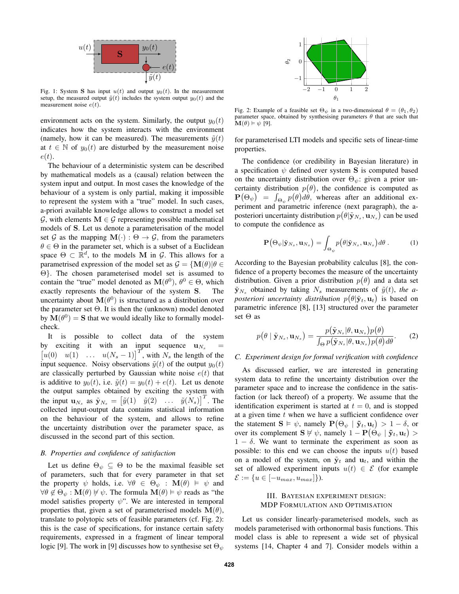

Fig. 1: System S has input  $u(t)$  and output  $y_0(t)$ . In the measurement setup, the measured output  $\tilde{y}(t)$  includes the system output  $y_0(t)$  and the measurement noise  $e(t)$ .

environment acts on the system. Similarly, the output  $y_0(t)$ indicates how the system interacts with the environment (namely, how it can be measured). The measurements  $\tilde{y}(t)$ at  $t \in \mathbb{N}$  of  $y_0(t)$  are disturbed by the measurement noise  $e(t)$ .

The behaviour of a deterministic system can be described by mathematical models as a (causal) relation between the system input and output. In most cases the knowledge of the behaviour of a system is only partial, making it impossible to represent the system with a "true" model. In such cases, a-priori available knowledge allows to construct a model set  $\mathcal{G}$ , with elements  $M \in \mathcal{G}$  representing possible mathematical models of S. Let us denote a parameterisation of the model set G as the mapping  $M(\cdot): \Theta \to \mathcal{G}$ , from the parameters  $\theta \in \Theta$  in the parameter set, which is a subset of a Euclidean space  $\Theta \subset \mathbb{R}^d$ , to the models M in G. This allows for a parametrised expression of the model set as  $\mathcal{G} = \{ \mathbf{M}(\theta) | \theta \in$ Θ}. The chosen parameterised model set is assumed to contain the "true" model denoted as  $\mathbf{M}(\theta^0)$ ,  $\theta^0 \in \Theta$ , which exactly represents the behaviour of the system S. The uncertainty about  $\mathbf{M}(\theta^0)$  is structured as a distribution over the parameter set  $\Theta$ . It is then the (unknown) model denoted by  $\mathbf{M}(\theta^0) = \mathbf{S}$  that we would ideally like to formally modelcheck.

It is possible to collect data of the system by exciting it with an input sequence  $\mathbf{u}_{N_s}$  =  $\begin{bmatrix} u(0) & u(1) & \dots & u(N_s - 1) \end{bmatrix}^T$ , with  $N_s$  the length of the input sequence. Noisy observations  $\tilde{y}(t)$  of the output  $y_0(t)$ are classically perturbed by Gaussian white noise  $e(t)$  that is additive to  $y_0(t)$ , i.e.  $\tilde{y}(t) = y_0(t) + e(t)$ . Let us denote the output samples obtained by exciting the system with the input  $\mathbf{u}_{N_s}$  as  $\tilde{\mathbf{y}}_{N_s} = \begin{bmatrix} \tilde{y}(1) & \tilde{y}(2) & \dots & \tilde{y}(N_s) \end{bmatrix}^T$ . The collected input-output data contains statistical information on the behaviour of the system, and allows to refine the uncertainty distribution over the parameter space, as discussed in the second part of this section.

### *B. Properties and confidence of satisfaction*

Let us define  $\Theta_{\psi} \subseteq \Theta$  to be the maximal feasible set of parameters, such that for every parameter in that set the property  $\psi$  holds, i.e.  $\forall \theta \in \Theta_{\psi} : \mathbf{M}(\theta) \models \psi$  and  $\forall \theta \notin \Theta_{\psi} : \mathbf{M}(\theta) \neq \psi$ . The formula  $\mathbf{M}(\theta) \models \psi$  reads as "the model satisfies property  $\psi$ ". We are interested in temporal properties that, given a set of parameterised models  $\mathbf{M}(\theta)$ , translate to polytopic sets of feasible parameters (cf. Fig. 2): this is the case of specifications, for instance certain safety requirements, expressed in a fragment of linear temporal logic [9]. The work in [9] discusses how to synthesise set  $\Theta_{\psi}$ 



Fig. 2: Example of a feasible set  $\Theta_{\psi}$  in a two-dimensional  $\theta = (\theta_1, \theta_2)$ parameter space, obtained by synthesising parameters  $\theta$  that are such that  $\mathbf{M}(\theta) \models \psi$  [9].

for parameterised LTI models and specific sets of linear-time properties.

The confidence (or credibility in Bayesian literature) in a specification  $\psi$  defined over system **S** is computed based on the uncertainty distribution over  $\Theta_{\psi}$ : given a prior uncertainty distribution  $p(\theta)$ , the confidence is computed as  $\mathbf{P}\big(\Theta_\psi\big) \;\; = \;\; \int_{\Theta_\psi} p\big(\theta\big) d\theta, \;$  whereas after an additional experiment and parametric inference (next paragraph), the aposteriori uncertainty distribution  $p\big(\theta|\tilde{{\mathbf{y}}}_{N_s}, {\mathbf{u}}_{N_s}\big)$  can be used to compute the confidence as

$$
\mathbf{P}\left(\Theta_{\psi}|\tilde{\mathbf{y}}_{N_s},\mathbf{u}_{N_s}\right) = \int_{\Theta_{\psi}} p\left(\theta|\tilde{\mathbf{y}}_{N_s},\mathbf{u}_{N_s}\right) d\theta. \tag{1}
$$

According to the Bayesian probability calculus [8], the confidence of a property becomes the measure of the uncertainty distribution. Given a prior distribution  $p(\theta)$  and a data set  $\tilde{\mathbf{y}}_{N_s}$  obtained by taking  $N_s$  measurements of  $\tilde{y}(t)$ , the aposteriori uncertainty distribution  $p(\theta | \tilde{{\mathbf{y}}}_t, {\mathbf{u}}_t)$  is based on parametric inference [8], [13] structured over the parameter set Θ as

$$
p(\theta \mid \tilde{\mathbf{y}}_{N_s}, \mathbf{u}_{N_s}) = \frac{p(\tilde{\mathbf{y}}_{N_s} | \theta, \mathbf{u}_{N_s}) p(\theta)}{\int_{\Theta} p(\tilde{\mathbf{y}}_{N_s} | \theta, \mathbf{u}_{N_s}) p(\theta) d\theta}.
$$
 (2)

#### *C. Experiment design for formal verification with confidence*

As discussed earlier, we are interested in generating system data to refine the uncertainty distribution over the parameter space and to increase the confidence in the satisfaction (or lack thereof) of a property. We assume that the identification experiment is started at  $t = 0$ , and is stopped at a given time t when we have a sufficient confidence over the statement  $S \vDash \psi$ , namely  $\mathbf{P}(\Theta_{\psi} | \tilde{\mathbf{y}}_t, \mathbf{u}_t) > 1 - \delta$ , or over its complement  $S \nvDash \psi$ , namely  $1 - P(\Theta_{\psi} | \tilde{\mathbf{y}}_t, \mathbf{u}_t)$  $1 - \delta$ . We want to terminate the experiment as soon as possible: to this end we can choose the inputs  $u(t)$  based on a model of the system, on  $\tilde{\mathbf{y}}_t$  and  $\mathbf{u}_t$ , and within the set of allowed experiment inputs  $u(t) \in \mathcal{E}$  (for example  $\mathcal{E} := \{u \in [-u_{max}, u_{max}]\}.$ 

## III. BAYESIAN EXPERIMENT DESIGN: MDP FORMULATION AND OPTIMISATION

Let us consider linearly-parameterised models, such as models parameterised with orthonormal basis functions. This model class is able to represent a wide set of physical systems [14, Chapter 4 and 7]. Consider models within a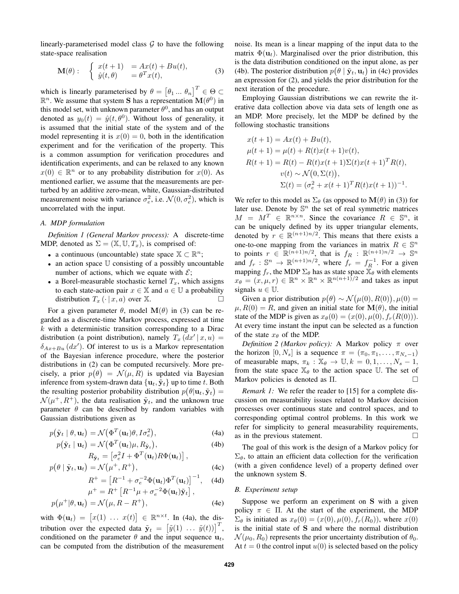linearly-parameterised model class  $G$  to have the following state-space realisation

$$
\mathbf{M}(\theta): \begin{cases} x(t+1) = Ax(t) + Bu(t), \\ \hat{y}(t,\theta) = \theta^T x(t), \end{cases}
$$
 (3)

which is linearly parameterised by  $\theta = [\theta_1 ... \theta_n]^T \in \Theta \subset$  $\mathbb{R}^n$ . We assume that system **S** has a representation  $\mathbf{M}(\theta^0)$  in this model set, with unknown parameter  $\theta^0$ , and has an output denoted as  $y_0(t) = \hat{y}(t, \theta^0)$ . Without loss of generality, it is assumed that the initial state of the system and of the model representing it is  $x(0) = 0$ , both in the identification experiment and for the verification of the property. This is a common assumption for verification procedures and identification experiments, and can be relaxed to any known  $x(0) \in \mathbb{R}^n$  or to any probability distribution for  $x(0)$ . As mentioned earlier, we assume that the measurements are perturbed by an additive zero-mean, white, Gaussian-distributed measurement noise with variance  $\sigma_e^2$ , i.e.  $\mathcal{N}(0, \sigma_e^2)$ , which is uncorrelated with the input.

# *A. MDP formulation*

 $p(\mu$ 

*Definition 1 (General Markov process):* A discrete-time MDP, denoted as  $\Sigma = (\mathbb{X}, \mathbb{U}, T_x)$ , is comprised of:

- a continuous (uncountable) state space  $\mathbb{X} \subset \mathbb{R}^n$ ;
- an action space U consisting of a possibly uncountable number of actions, which we equate with  $\mathcal{E}$ ;
- a Borel-measurable stochastic kernel  $T_x$ , which assigns to each state-action pair  $x \in \mathbb{X}$  and  $a \in \mathbb{U}$  a probability distribution  $T_x(\cdot | x, a)$  over X.

For a given parameter  $\theta$ , model  $\mathbf{M}(\theta)$  in (3) can be regarded as a discrete-time Markov process, expressed at time  $k$  with a deterministic transition corresponding to a Dirac distribution (a point distribution), namely  $T_x(dx'|x, u) =$  $\delta_{Ax+Bu}$  (dx'). Of interest to us is a Markov representation of the Bayesian inference procedure, where the posterior distributions in (2) can be computed recursively. More precisely, a prior  $p(\theta) = \mathcal{N}(\mu, R)$  is updated via Bayesian inference from system-drawn data  $\{u_t, \tilde{y}_t\}$  up to time t. Both the resulting posterior probability distribution  $p(\theta | \mathbf{u}_t, \tilde{\mathbf{y}}_t) =$  $\mathcal{N}(\mu^+, R^+)$ , the data realisation  $\tilde{\mathbf{y}}_t$ , and the unknown true parameter  $\theta$  can be described by random variables with Gaussian distributions given as

$$
p(\tilde{\mathbf{y}}_t \mid \theta, \mathbf{u}_t) = \mathcal{N}\big(\Phi^T(\mathbf{u}_t)\theta, I\sigma_e^2\big),\tag{4a}
$$

$$
p(\tilde{\mathbf{y}}_t | \mathbf{u}_t) = \mathcal{N}(\Phi^T(\mathbf{u}_t)\mu, R_{\tilde{\mathbf{y}}_t}),
$$
  
\n
$$
R_{\tilde{\mathbf{y}}_t} = [\sigma_e^2 I + \Phi^T(\mathbf{u}_t) R \Phi(\mathbf{u}_t)],
$$
\n(4b)

$$
p(\theta \mid \tilde{\mathbf{y}}_t, \mathbf{u}_t) = \mathcal{N}(\mu^+, R^+), \tag{4c}
$$

$$
R^{+} = \left[R^{-1} + \sigma_e^{-2} \Phi(\mathbf{u}_t) \Phi^T(\mathbf{u}_t)\right]^{-1}, \quad (4d)
$$

$$
\mu^{+} = R^{+} \left[ R^{-1} \mu + \sigma_{e}^{-2} \Phi(\mathbf{u}_{t}) \tilde{\mathbf{y}}_{t} \right],
$$
  
 
$$
^{+}|\theta, \mathbf{u}_{t}) = \mathcal{N}(\mu, R - R^{+}), \qquad (4e)
$$

with  $\Phi(\mathbf{u}_t) = [x(1) \dots x(t)] \in \mathbb{R}^{n \times t}$ . In (4a), the distribution over the expected data  $\tilde{\mathbf{y}}_t = \begin{bmatrix} \tilde{y}(1) & \dots & \tilde{y}(t) \end{bmatrix}^T$ , conditioned on the parameter  $\theta$  and the input sequence  $\mathbf{u}_t$ , can be computed from the distribution of the measurement noise. Its mean is a linear mapping of the input data to the matrix  $\Phi(\mathbf{u}_t)$ . Marginalised over the prior distribution, this is the data distribution conditioned on the input alone, as per (4b). The posterior distribution  $p(\theta | \tilde{\mathbf{y}}_t, \mathbf{u}_t)$  in (4c) provides an expression for (2), and yields the prior distribution for the next iteration of the procedure.

Employing Gaussian distributions we can rewrite the iterative data collection above via data sets of length one as an MDP. More precisely, let the MDP be defined by the following stochastic transitions

$$
x(t + 1) = Ax(t) + Bu(t),
$$
  
\n
$$
\mu(t + 1) = \mu(t) + R(t)x(t + 1)v(t),
$$
  
\n
$$
R(t + 1) = R(t) - R(t)x(t + 1)\Sigma(t)x(t + 1)^{T}R(t),
$$
  
\n
$$
v(t) \sim \mathcal{N}(0, \Sigma(t)),
$$
  
\n
$$
\Sigma(t) = (\sigma_e^2 + x(t + 1)^{T}R(t)x(t + 1))^{-1}.
$$

We refer to this model as  $\Sigma_{\theta}$  (as opposed to  $\mathbf{M}(\theta)$  in (3)) for later use. Denote by  $\mathbb{S}^n$  the set of real symmetric matrices  $M = M^T \in \mathbb{R}^{n \times n}$ . Since the covariance  $R \in \mathbb{S}^n$ , it can be uniquely defined by its upper triangular elements, denoted by  $r \in \mathbb{R}^{(n+1)n/2}$ . This means that there exists a one-to-one mapping from the variances in matrix  $R \in \mathbb{S}^n$ to points  $r \in \mathbb{R}^{(n+1)n/2}$ , that is  $f_R : \mathbb{R}^{(n+1)n/2} \to \mathbb{S}^n$ and  $f_r : \mathbb{S}^n \to \mathbb{R}^{(n+1)n/2}$ , where  $f_r = f_R^{-1}$ . For a given mapping  $f_r$ , the MDP  $\Sigma_\theta$  has as state space  $\mathbb{X}_\theta$  with elements  $x_{\theta} = (x, \mu, r) \in \mathbb{R}^n \times \mathbb{R}^n \times \mathbb{R}^{n(n+1)/2}$  and takes as input signals  $u \in \mathbb{U}$ .

Given a prior distribution  $p(\theta) \sim \mathcal{N}(\mu(0), R(0)), \mu(0) =$  $\mu$ ,  $R(0) = R$ , and given an initial state for  $\mathbf{M}(\theta)$ , the initial state of the MDP is given as  $x_{\theta}(0) = (x(0), \mu(0), f_r(R(0))).$ At every time instant the input can be selected as a function of the state  $x_{\theta}$  of the MDP.

*Definition 2 (Markov policy):* A Markov policy  $\pi$  over the horizon  $[0, N_s]$  is a sequence  $\pi = (\pi_0, \pi_1, \ldots, \pi_{N_s-1})$ of measurable maps,  $\pi_k : \mathbb{X}_{\theta} \to \mathbb{U}, k = 0, 1, \ldots, N_s - 1$ , from the state space  $\mathbb{X}_{\theta}$  to the action space U. The set of Markov policies is denoted as Π.

*Remark 1:* We refer the reader to [15] for a complete discussion on measurability issues related to Markov decision processes over continuous state and control spaces, and to corresponding optimal control problems. In this work we refer for simplicity to general measurability requirements, as in the previous statement.

The goal of this work is the design of a Markov policy for  $\Sigma_{\theta}$ , to attain an efficient data collection for the verification (with a given confidence level) of a property defined over the unknown system S.

# *B. Experiment setup*

Suppose we perform an experiment on S with a given policy  $\pi \in \Pi$ . At the start of the experiment, the MDP  $\Sigma_{\theta}$  is initiated as  $x_{\theta}(0) = (x(0), \mu(0), f_r(R_0))$ , where  $x(0)$ is the initial state of S and where the normal distribution  $\mathcal{N}(\mu_0, R_0)$  represents the prior uncertainty distribution of  $\theta_0$ . At  $t = 0$  the control input  $u(0)$  is selected based on the policy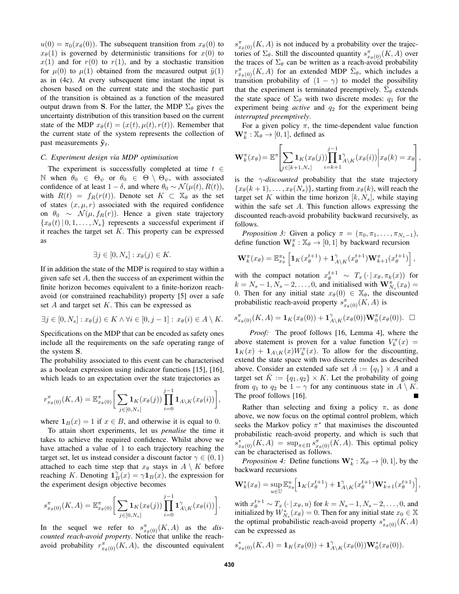$u(0) = \pi_0(x_\theta(0))$ . The subsequent transition from  $x_\theta(0)$  to  $x_{\theta}(1)$  is governed by deterministic transitions for  $x(0)$  to  $x(1)$  and for  $r(0)$  to  $r(1)$ , and by a stochastic transition for  $\mu(0)$  to  $\mu(1)$  obtained from the measured output  $\tilde{\eta}(1)$ as in (4c). At every subsequent time instant the input is chosen based on the current state and the stochastic part of the transition is obtained as a function of the measured output drawn from S. For the latter, the MDP  $\Sigma_{\theta}$  gives the uncertainty distribution of this transition based on the current state of the MDP  $x_{\theta}(t) = (x(t), \mu(t), r(t))$ . Remember that the current state of the system represents the collection of past measurements  $\tilde{\mathbf{y}}_t$ .

### *C. Experiment design via MDP optimisation*

The experiment is successfully completed at time  $t \in$ N when  $\theta_0 \in \Theta_{\psi}$  or  $\theta_0 \in \Theta \setminus \Theta_{\psi}$ , with associated confidence of at least  $1 - \delta$ , and where  $\theta_0 \sim \mathcal{N}(\mu(t), R(t)),$ with  $R(t) = f_R(r(t))$ . Denote set  $K \subset \mathbb{X}_{\theta}$  as the set of states  $(x, \mu, r)$  associated with the required confidence on  $\theta_0 \sim \mathcal{N}(\mu, f_R(r))$ . Hence a given state trajectory  ${x_{\theta}(t) | 0, 1, \ldots, N_s}$  represents a successful experiment if it reaches the target set  $K$ . This property can be expressed as

$$
\exists j \in [0, N_s] : x_{\theta}(j) \in K.
$$

If in addition the state of the MDP is required to stay within a given safe set  $A$ , then the success of an experiment within the finite horizon becomes equivalent to a finite-horizon reachavoid (or constrained reachability) property [5] over a safe set  $A$  and target set  $K$ . This can be expressed as

$$
\exists j \in [0, N_s] : x_{\theta}(j) \in K \land \forall i \in [0, j - 1] : x_{\theta}(i) \in A \setminus K.
$$

Specifications on the MDP that can be encoded as safety ones include all the requirements on the safe operating range of the system S.

The probability associated to this event can be characterised as a boolean expression using indicator functions [15], [16], which leads to an expectation over the state trajectories as

$$
r_{x_{\theta}(0)}^{\pi}(K, A) = \mathbb{E}_{x_{\theta}(0)}^{\pi} \bigg[ \sum_{j \in [0, N_s]} \mathbf{1}_{K}(x_{\theta}(j)) \prod_{i=0}^{j-1} \mathbf{1}_{A \setminus K}(x_{\theta}(i)) \bigg],
$$

where  $\mathbf{1}_B(x) = 1$  if  $x \in B$ , and otherwise it is equal to 0.

To attain short experiments, let us *penalise* the time it takes to achieve the required confidence. Whilst above we have attached a value of 1 to each trajectory reaching the target set, let us instead consider a discount factor  $\gamma \in (0,1)$ attached to each time step that  $x_{\theta}$  stays in  $A \setminus K$  before reaching K. Denoting  $1_B^{\gamma}(x) = \gamma 1_B(x)$ , the expression for the experiment design objective becomes

$$
s_{x_{\theta}(0)}^{\pi}(K, A) = \mathbb{E}_{x_{\theta}(0)}^{\pi} \bigg[ \sum_{j \in [0, N_s]} \mathbf{1}_{K}(x_{\theta}(j)) \prod_{i=0}^{j-1} \mathbf{1}_{A \setminus K}^{\gamma}(x_{\theta}(i)) \bigg].
$$

In the sequel we refer to  $s_{x_{\theta}(0)}^{\pi}(K, A)$  as the *discounted reach-avoid property*. Notice that unlike the reachavoid probability  $r^{\pi}_{x_{\theta}(0)}(K, A)$ , the discounted equivalent

 $s^{\pi}_{x_{\theta}(0)}(K, A)$  is not induced by a probability over the trajectories of  $\Sigma_{\theta}$ . Still the discounted quantity  $s^{\pi}_{x_{\theta}(0)}(K, A)$  over the traces of  $\Sigma_{\theta}$  can be written as a reach-avoid probability  $r^{\pi}_{\bar{x}_{\theta}(0)}(K, A)$  for an extended MDP  $\bar{\Sigma}_{\theta}$ , which includes a transition probability of  $(1 - \gamma)$  to model the possibility that the experiment is terminated preemptively.  $\bar{\Sigma}_{\theta}$  extends the state space of  $\Sigma_{\theta}$  with two discrete modes:  $q_1$  for the experiment being *active* and  $q_2$  for the experiment being *interrupted preemptively*.

For a given policy  $\pi$ , the time-dependent value function  $\mathbf{W}_k^{\pi}: \mathbb{X}_{\theta} \to [0, 1]$ , defined as

$$
\mathbf{W}_k^{\pi}(x_{\theta}) = \mathbb{E}^{\pi} \left[ \sum_{j \in [k+1,N_s]} \mathbf{1}_{K}(x_{\theta}(j)) \prod_{i=k+1}^{j-1} \mathbf{1}_{A \setminus K}^{\gamma}(x_{\theta}(i)) \middle| x_{\theta}(k) = x_{\theta} \right],
$$

is the  $\gamma$ -*discounted* probability that the state trajectory  ${x_{\theta}(k+1), \ldots, x_{\theta}(N_s)}$ , starting from  $x_{\theta}(k)$ , will reach the target set K within the time horizon  $[k, N_s]$ , while staying within the safe set A. This function allows expressing the discounted reach-avoid probability backward recursively, as follows.

*Proposition 3:* Given a policy  $\pi = (\pi_0, \pi_1, \dots, \pi_{N_s-1}),$ define function  $\mathbf{W}_k^{\pi} : \mathbb{X}_{\theta} \to [0, 1]$  by backward recursion

$$
\mathbf{W}_{k}^{\pi}(x_{\theta}) = \mathbb{E}_{x_{\theta}}^{\pi_{k}} \left[ \mathbf{1}_{K}(x_{\theta}^{t+1}) + \mathbf{1}_{A \setminus K}^{\gamma}(x_{\theta}^{t+1}) \mathbf{W}_{k+1}^{\pi}(x_{\theta}^{t+1}) \right],
$$

with the compact notation  $x_{\theta}^{t+1} \sim T_x(\cdot | x_{\theta}, \pi_k(x))$  for  $k = N_s - 1, N_s - 2, \dots, 0$ , and initialised with  $\mathbf{W}_{N_s}^{\pi}(x_{\theta}) =$ 0. Then for any initial state  $x_{\theta}(0) \in \mathbb{X}_{\theta}$ , the discounted probabilistic reach-avoid property  $s^{\pi}_{x_{\theta}(0)}(K, A)$  is

$$
s^{\pi}_{x_{\theta}(0)}(K, A) = \mathbf{1}_{K}(x_{\theta}(0)) + \mathbf{1}_{A \setminus K}^{\gamma}(x_{\theta}(0))\mathbf{W}_{0}^{\pi}(x_{\theta}(0)). \quad \Box
$$

*Proof:* The proof follows [16, Lemma 4], where the above statement is proven for a value function  $V_k^{\pi}(x) =$  $\mathbf{1}_K(x) + \mathbf{1}_{A\setminus K}(x)W_k^{\pi}(x)$ . To allow for the discounting, extend the state space with two discrete modes as described above. Consider an extended safe set  $\overline{A} := \{q_1\} \times A$  and a target set  $K := \{q_1, q_2\} \times K$ . Let the probability of going from  $q_1$  to  $q_2$  be  $1 - \gamma$  for any continuous state in  $A \setminus K$ . The proof follows [16].

Rather than selecting and fixing a policy  $\pi$ , as done above, we now focus on the optimal control problem, which seeks the Markov policy  $\pi^*$  that maximises the discounted probabilistic reach-avoid property, and which is such that  $s_{x_{\theta}(0)}^*(K, A) = \sup_{\pi \in \Pi} s_{x_{\theta}(0)}^{\pi}(K, A)$ . This optimal policy can be characterised as follows.

*Proposition 4:* Define functions  $\mathbf{W}_{k}^{*} : \mathbb{X}_{\theta} \rightarrow [0, 1]$ , by the backward recursions

$$
\mathbf{W}_{k}^{*}(x_{\theta}) = \sup_{u \in \mathbb{U}} \mathbb{E}_{x_{\theta}}^{u} \Big[ \mathbf{1}_{K}(x_{\theta}^{t+1}) + \mathbf{1}_{A \setminus K}^{\gamma}(x_{\theta}^{t+1}) \mathbf{W}_{k+1}^{*}(x_{\theta}^{t+1}) \Big],
$$

with  $x_{\theta}^{t+1} \sim T_x \left( \cdot \, | \, x_{\theta}, u \right)$  for  $k = N_s - 1, N_s - 2, \dots, 0$ , and initialized by  $W^*_{N_s}(x_\theta) = 0$ . Then for any initial state  $x_0 \in \mathbb{X}$ the optimal probabilistic reach-avoid property  $s_{x_{\theta}(0)}^*(K, A)$ can be expressed as

$$
s_{x_{\theta}(0)}^{*}(K, A) = \mathbf{1}_{K}(x_{\theta}(0)) + \mathbf{1}_{A \setminus K}^{\gamma}(x_{\theta}(0))\mathbf{W}_{0}^{*}(x_{\theta}(0)).
$$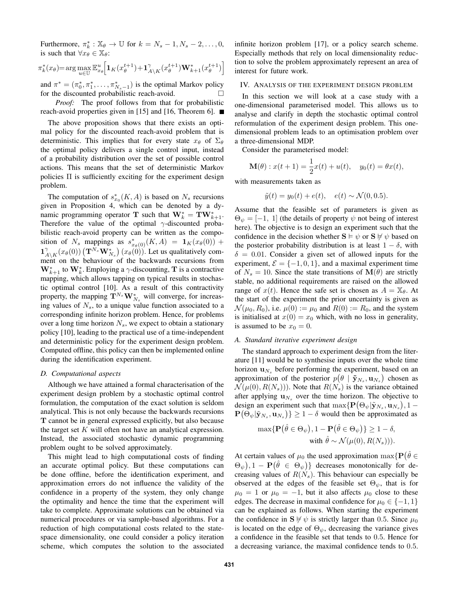Furthermore,  $\pi_k^* : \mathbb{X}_{\theta} \to \mathbb{U}$  for  $k = N_s - 1, N_s - 2, \dots, 0$ , is such that  $\forall x_{\theta} \in \mathbb{X}_{\theta}$ :

$$
\pi_k^*(x_\theta) = \arg \max_{u \in \mathbb{U}} \mathbb{E}_{x_\theta}^u \Big[ \mathbf{1}_K (x_\theta^{t+1}) + \mathbf{1}_{A \backslash K}^\gamma (x_\theta^{t+1}) \mathbf{W}_{k+1}^* (x_\theta^{t+1}) \Big]
$$

and  $\pi^* = (\pi_0^*, \pi_1^*, \dots, \pi_{N_s-1}^*)$  is the optimal Markov policy for the discounted probabilistic reach-avoid.

*Proof:* The proof follows from that for probabilistic reach-avoid properties given in [15] and [16, Theorem 6].

The above proposition shows that there exists an optimal policy for the discounted reach-avoid problem that is deterministic. This implies that for every state  $x_{\theta}$  of  $\Sigma_{\theta}$ the optimal policy delivers a single control input, instead of a probability distribution over the set of possible control actions. This means that the set of deterministic Markov policies Π is sufficiently exciting for the experiment design problem.

The computation of  $s_{x_0}^*(K, A)$  is based on  $N_s$  recursions given in Proposition 4, which can be denoted by a dynamic programming operator **T** such that  $\mathbf{W}_{k}^{*} = \mathbf{TW}_{k+1}^{*}$ . Therefore the value of the optimal  $\gamma$ -discounted probabilistic reach-avoid property can be written as the composition of  $N_s$  mappings as  $s_{x_{\theta}(0)}^*(K, A) = \mathbf{1}_K(x_{\theta}(0))$  +  $\mathbf{1}_{A}^{\gamma}$  $\int_{A\setminus K}^{\gamma}(x_\theta(0))\left(\mathbf{T}^{N_s}\mathbf{W}_{N_s}^*\right)(x_\theta(0))$ . Let us qualitatively comment on the behaviour of the backwards recursions from  $\mathbf{W}_{k+1}^*$  to  $\mathbf{W}_k^*$ . Employing a  $\gamma$ -discounting, T is a contractive mapping, which allows tapping on typical results in stochastic optimal control [10]. As a result of this contractivity property, the mapping  $\mathbf{T}^{N_s}\mathbf{W}_{N_s}^*$  will converge, for increasing values of  $N<sub>s</sub>$ , to a unique value function associated to a corresponding infinite horizon problem. Hence, for problems over a long time horizon  $N_s$ , we expect to obtain a stationary policy [10], leading to the practical use of a time-independent and deterministic policy for the experiment design problem. Computed offline, this policy can then be implemented online during the identification experiment.

### *D. Computational aspects*

Although we have attained a formal characterisation of the experiment design problem by a stochastic optimal control formulation, the computation of the exact solution is seldom analytical. This is not only because the backwards recursions T cannot be in general expressed explicitly, but also because the target set  $K$  will often not have an analytical expression. Instead, the associated stochastic dynamic programming problem ought to be solved approximately.

This might lead to high computational costs of finding an accurate optimal policy. But these computations can be done offline, before the identification experiment, and approximation errors do not influence the validity of the confidence in a property of the system, they only change the optimality and hence the time that the experiment will take to complete. Approximate solutions can be obtained via numerical procedures or via sample-based algorithms. For a reduction of high computational costs related to the statespace dimensionality, one could consider a policy iteration scheme, which computes the solution to the associated infinite horizon problem [17], or a policy search scheme. Especially methods that rely on local dimensionality reduction to solve the problem approximately represent an area of interest for future work.

#### IV. ANALYSIS OF THE EXPERIMENT DESIGN PROBLEM

In this section we will look at a case study with a one-dimensional parameterised model. This allows us to analyse and clarify in depth the stochastic optimal control reformulation of the experiment design problem. This onedimensional problem leads to an optimisation problem over a three-dimensional MDP.

Consider the parameterised model:

$$
\mathbf{M}(\theta) : x(t+1) = \frac{1}{2}x(t) + u(t), \quad y_0(t) = \theta x(t),
$$

with measurements taken as

$$
\tilde{y}(t) = y_0(t) + e(t), \quad e(t) \sim \mathcal{N}(0, 0.5).
$$

Assume that the feasible set of parameters is given as  $\Theta_{\psi} = [-1, 1]$  (the details of property  $\psi$  not being of interest here). The objective is to design an experiment such that the confidence in the decision whether  $S \vDash \psi$  or  $S \not\models \psi$  based on the posterior probability distribution is at least  $1 - \delta$ , with  $\delta = 0.01$ . Consider a given set of allowed inputs for the experiment,  $\mathcal{E} = \{-1, 0, 1\}$ , and a maximal experiment time of  $N_s = 10$ . Since the state transitions of  $\mathbf{M}(\theta)$  are strictly stable, no additional requirements are raised on the allowed range of  $x(t)$ . Hence the safe set is chosen as  $A = X_{\theta}$ . At the start of the experiment the prior uncertainty is given as  $\mathcal{N}(\mu_0, R_0)$ , i.e.  $\mu(0) := \mu_0$  and  $R(0) := R_0$ , and the system is initialised at  $x(0) = x_0$  which, with no loss in generality, is assumed to be  $x_0 = 0$ .

#### *A. Standard iterative experiment design*

The standard approach to experiment design from the literature [11] would be to synthesise inputs over the whole time horizon  $\mathbf{u}_{N_s}$  before performing the experiment, based on an approximation of the posterior  $p(\theta | \tilde{\mathbf{y}}_{N_s}, \mathbf{u}_{N_s})$  chosen as  $\mathcal{N}(\mu(0), R(N_s))$ . Note that  $R(N_s)$  is the variance obtained after applying  $\mathbf{u}_{N_s}$  over the time horizon. The objective to design an experiment such that  $\max\{ \mathbf{P}(\Theta_\psi | \tilde{\mathbf{y}}_{N_s}, \mathbf{u}_{N_s}), 1 - \}$  $\mathbf{P}(\Theta_{\psi}|\tilde{\mathbf{y}}_{N_s}, \mathbf{u}_{N_s})\} \geq 1 - \delta$  would then be approximated as

$$
\max \{ \mathbf{P}(\hat{\theta} \in \Theta_{\psi}), 1 - \mathbf{P}(\hat{\theta} \in \Theta_{\psi}) \} \ge 1 - \delta,
$$
  
with  $\hat{\theta} \sim \mathcal{N}(\mu(0), R(N_s))).$ 

At certain values of  $\mu_0$  the used approximation  $\max\{P(\hat{\theta}\in\mathbb{R}^d)\}$  $(\Theta_{\psi}), 1 - \mathbf{P}(\hat{\theta} \in \Theta_{\psi})\}$  decreases monotonically for decreasing values of  $R(N_s)$ . This behaviour can especially be observed at the edges of the feasible set  $\Theta_{\psi}$ , that is for  $\mu_0 = 1$  or  $\mu_0 = -1$ , but it also affects  $\mu_0$  close to these edges. The decrease in maximal confidence for  $\mu_0 \in \{-1, 1\}$ can be explained as follows. When starting the experiment the confidence in  $S \not\models \psi$  is strictly larger than 0.5. Since  $\mu_0$ is located on the edge of  $\Theta_{\psi}$ , decreasing the variance gives a confidence in the feasible set that tends to 0.5. Hence for a decreasing variance, the maximal confidence tends to 0.5.